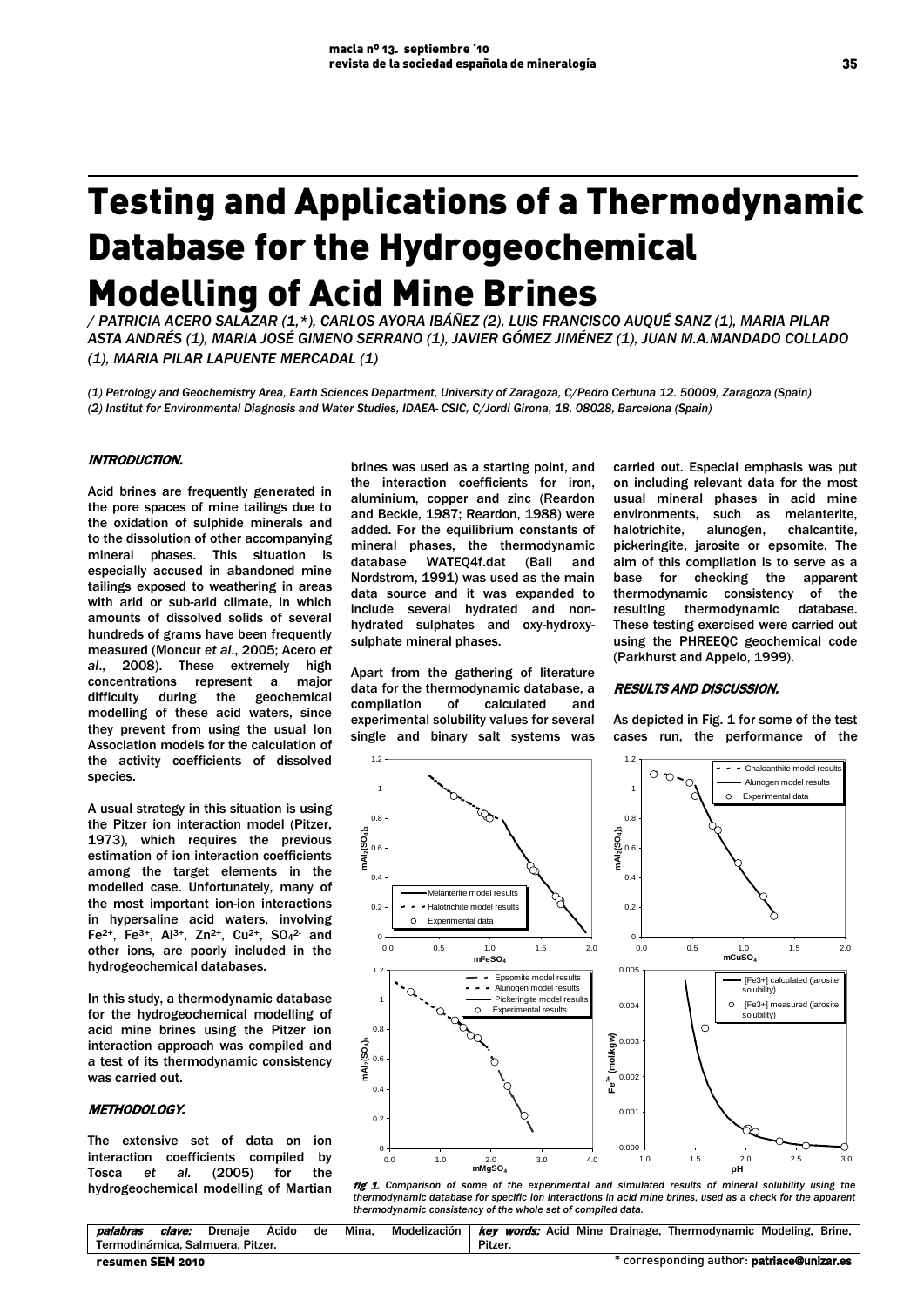# Testing and Applications of a Thermodynamic Database for the Hydrogeochemical Modelling of Acid Mine Brines

*/ PATRICIA ACERO SALAZAR (1,\*), CARLOS AYORA IBÁÑEZ (2), LUIS FRANCISCO AUQUÉ SANZ (1), MARIA PILAR ASTA ANDRÉS (1), MARIA JOSÉ GIMENO SERRANO (1), JAVIER GÓMEZ JIMÉNEZ (1), JUAN M.A.MANDADO COLLADO (1), MARIA PILAR LAPUENTE MERCADAL (1)*

*(1) Petrology and Geochemistry Area, Earth Sciences Department, University of Zaragoza, C/Pedro Cerbuna 12. 50009, Zaragoza (Spain) (2) Institut for Environmental Diagnosis and Water Studies, IDAEA- CSIC, C/Jordi Girona, 18. 08028, Barcelona (Spain)*

#### INTRODUCTION.

Acid brines are frequently generated in the pore spaces of mine tailings due to the oxidation of sulphide minerals and to the dissolution of other accompanying mineral phases. This situation is especially accused in abandoned mine tailings exposed to weathering in areas with arid or sub-arid climate, in which amounts of dissolved solids of several hundreds of grams have been frequently measured (Moncur *et al*., 2005; Acero *et al*., 2008). These extremely high concentrations represent a major difficulty during the geochemical modelling of these acid waters, since they prevent from using the usual Ion Association models for the calculation of the activity coefficients of dissolved species.

A usual strategy in this situation is using the Pitzer ion interaction model (Pitzer, 1973), which requires the previous estimation of ion interaction coefficients among the target elements in the modelled case. Unfortunately, many of the most important ion-ion interactions in hypersaline acid waters, involving Fe<sup>2+</sup>, Fe<sup>3+</sup>, Al<sup>3+</sup>, Zn<sup>2+</sup>, Cu<sup>2+</sup>, SO<sub>4</sub><sup>2</sup> and other ions, are poorly included in the hydrogeochemical databases.

In this study, a thermodynamic database for the hydrogeochemical modelling of acid mine brines using the Pitzer ion interaction approach was compiled and a test of its thermodynamic consistency was carried out.

#### METHODOLOGY.

The extensive set of data on ion interaction coefficients compiled by Tosca *et al.* (2005) for the hydrogeochemical modelling of Martian brines was used as a starting point, and the interaction coefficients for iron, aluminium, copper and zinc (Reardon and Beckie, 1987; Reardon, 1988) were added. For the equilibrium constants of mineral phases, the thermodynamic database WATEQ4f.dat (Ball and Nordstrom, 1991) was used as the main data source and it was expanded to include several hydrated and nonhydrated sulphates and oxy-hydroxysulphate mineral phases.

Apart from the gathering of literature data for the thermodynamic database, a compilation of calculated and experimental solubility values for several single and binary salt systems was

carried out. Especial emphasis was put on including relevant data for the most usual mineral phases in acid mine environments, such as melanterite, halotrichite, alunogen, chalcantite, pickeringite, jarosite or epsomite. The aim of this compilation is to serve as a base for checking the apparent thermodynamic consistency of the resulting thermodynamic database. These testing exercised were carried out using the PHREEQC geochemical code (Parkhurst and Appelo, 1999).

## RESULTS AND DISCUSSION.

As depicted in Fig. 1 for some of the test cases run, the performance of the



fig 1. Comparison of some of the experimental and simulated results of mineral solubility using the *thermodynamic database for specific ion interactions in acid mine brines, used as a check for the apparent thermodynamic consistency of the whole set of compiled data.*